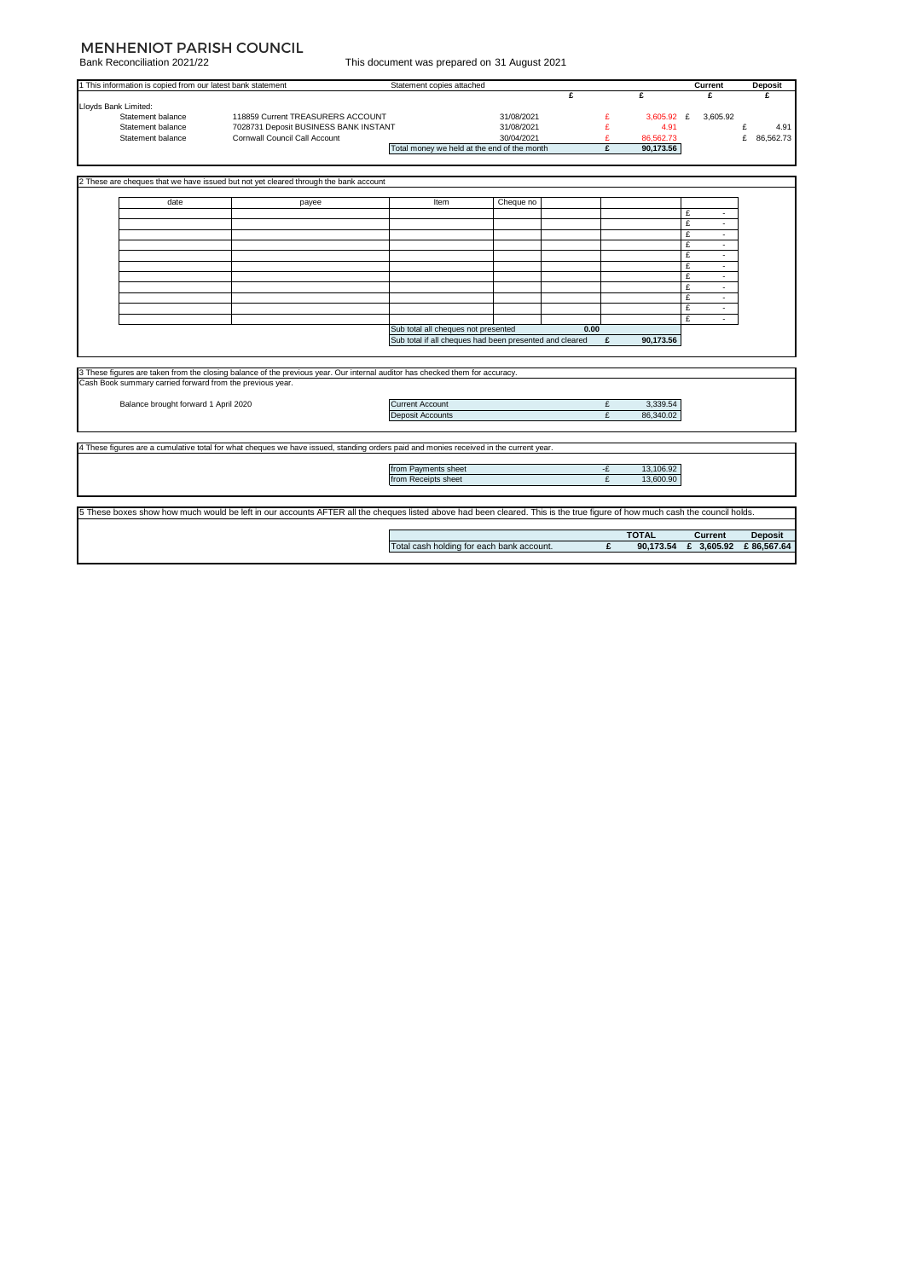# MENHENIOT PARISH COUNCIL

Bank Reconciliation 2021/22

| This document was prepared on 31 August 2021 |  |  |
|----------------------------------------------|--|--|
|                                              |  |  |

| 1 This information is copied from our latest bank statement                                                                           |                                                                                                                                                                            | Statement copies attached           |                                                         |         |                           | Current               | <b>Deposit</b>               |
|---------------------------------------------------------------------------------------------------------------------------------------|----------------------------------------------------------------------------------------------------------------------------------------------------------------------------|-------------------------------------|---------------------------------------------------------|---------|---------------------------|-----------------------|------------------------------|
|                                                                                                                                       |                                                                                                                                                                            |                                     |                                                         | £       | £                         | £                     | ¢                            |
| Lloyds Bank Limited:                                                                                                                  |                                                                                                                                                                            |                                     |                                                         |         |                           |                       |                              |
| Statement balance                                                                                                                     | 118859 Current TREASURERS ACCOUNT<br>7028731 Deposit BUSINESS BANK INSTANT                                                                                                 |                                     | 31/08/2021<br>31/08/2021                                | £       | $3,605.92$ £<br>4.91      | 3,605.92              |                              |
| Statement balance<br>Statement balance                                                                                                | Cornwall Council Call Account                                                                                                                                              |                                     | 30/04/2021                                              | £<br>£  | 86,562.73                 |                       | £<br>4.91<br>£<br>86,562.73  |
|                                                                                                                                       |                                                                                                                                                                            |                                     | Total money we held at the end of the month             | £       | 90,173.56                 |                       |                              |
|                                                                                                                                       |                                                                                                                                                                            |                                     |                                                         |         |                           |                       |                              |
|                                                                                                                                       |                                                                                                                                                                            |                                     |                                                         |         |                           |                       |                              |
|                                                                                                                                       | 2 These are cheques that we have issued but not yet cleared through the bank account                                                                                       |                                     |                                                         |         |                           |                       |                              |
| date                                                                                                                                  | payee                                                                                                                                                                      | Item                                | Cheque no                                               |         |                           |                       |                              |
|                                                                                                                                       |                                                                                                                                                                            |                                     |                                                         |         | £                         |                       |                              |
|                                                                                                                                       |                                                                                                                                                                            |                                     |                                                         |         | £                         | ٠                     |                              |
|                                                                                                                                       |                                                                                                                                                                            |                                     |                                                         |         | £                         |                       |                              |
|                                                                                                                                       |                                                                                                                                                                            |                                     |                                                         |         | £                         | ٠                     |                              |
|                                                                                                                                       |                                                                                                                                                                            |                                     |                                                         |         | £                         | $\sim$                |                              |
|                                                                                                                                       |                                                                                                                                                                            |                                     |                                                         |         | £<br>£                    | $\sim$                |                              |
|                                                                                                                                       |                                                                                                                                                                            |                                     |                                                         |         | £                         |                       |                              |
|                                                                                                                                       |                                                                                                                                                                            |                                     |                                                         |         | £                         | ×.                    |                              |
|                                                                                                                                       |                                                                                                                                                                            |                                     |                                                         |         | £                         | $\sim$                |                              |
|                                                                                                                                       |                                                                                                                                                                            |                                     |                                                         |         | £                         | ×.                    |                              |
|                                                                                                                                       |                                                                                                                                                                            | Sub total all cheques not presented |                                                         | 0.00    |                           |                       |                              |
|                                                                                                                                       |                                                                                                                                                                            |                                     | Sub total if all cheques had been presented and cleared | £       | 90,173.56                 |                       |                              |
|                                                                                                                                       |                                                                                                                                                                            |                                     |                                                         |         |                           |                       |                              |
|                                                                                                                                       | 3 These figures are taken from the closing balance of the previous year. Our internal auditor has checked them for accuracy.                                               |                                     |                                                         |         |                           |                       |                              |
| Cash Book summary carried forward from the previous year.                                                                             |                                                                                                                                                                            |                                     |                                                         |         |                           |                       |                              |
|                                                                                                                                       |                                                                                                                                                                            |                                     |                                                         |         |                           |                       |                              |
| Balance brought forward 1 April 2020                                                                                                  |                                                                                                                                                                            | <b>Current Account</b>              |                                                         | £       | 3,339.54                  |                       |                              |
|                                                                                                                                       |                                                                                                                                                                            | Deposit Accounts                    |                                                         | £       | 86,340.02                 |                       |                              |
|                                                                                                                                       |                                                                                                                                                                            |                                     |                                                         |         |                           |                       |                              |
|                                                                                                                                       |                                                                                                                                                                            |                                     |                                                         |         |                           |                       |                              |
| 4 These figures are a cumulative total for what cheques we have issued, standing orders paid and monies received in the current year. |                                                                                                                                                                            |                                     |                                                         |         |                           |                       |                              |
|                                                                                                                                       |                                                                                                                                                                            |                                     |                                                         |         |                           |                       |                              |
|                                                                                                                                       |                                                                                                                                                                            | from Payments sheet                 |                                                         | -£<br>£ | 13,106.92                 |                       |                              |
|                                                                                                                                       |                                                                                                                                                                            | from Receipts sheet                 |                                                         |         | 13,600.90                 |                       |                              |
|                                                                                                                                       |                                                                                                                                                                            |                                     |                                                         |         |                           |                       |                              |
|                                                                                                                                       | 5 These boxes show how much would be left in our accounts AFTER all the cheques listed above had been cleared. This is the true figure of how much cash the council holds. |                                     |                                                         |         |                           |                       |                              |
|                                                                                                                                       |                                                                                                                                                                            |                                     | Total cash holding for each bank account.               | £       | <b>TOTAL</b><br>90,173.54 | Current<br>£ 3,605.92 | <b>Deposit</b><br>£86,567.64 |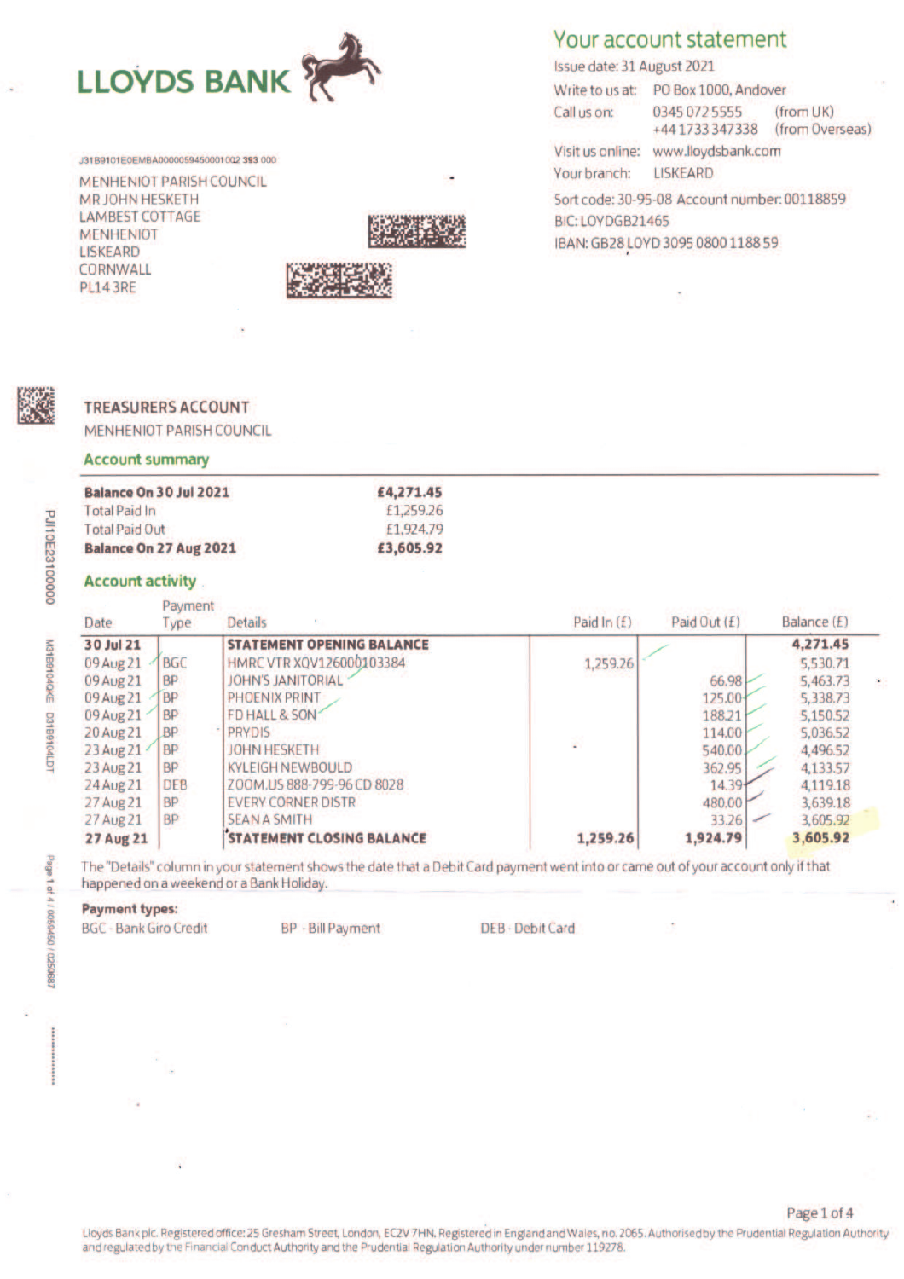

J31B9101E0EMBA0000059450001002 393 000

MENHENIOT PARISH COUNCIL MR JOHN HESKETH **LAMBEST COTTAGE MENHENIOT LISKEARD** CORNWALL **PL14 3RE** 



# Your account statement

Issue date: 31 August 2021

Write to us at: PO Box 1000, Andover Call us on: 0345 072 5555 (from UK)

+441733347338 (from Overseas) Visit us online: www.lloydsbank.com

Your branch: **LISKEARD** 

Sort code: 30-95-08 Account number: 00118859 BIC: LOYDGB21465 IBAN: GB28 LOYD 3095 0800 1188 59

### **TREASURERS ACCOUNT**

MENHENIOT PARISH COUNCIL

#### **Account summary**

| Balance On 30 Jul 2021 | £4,271.45 |
|------------------------|-----------|
| <b>Total Paid In</b>   | £1.259.26 |
| Total Paid Out         | £1.924.79 |
| Balance On 27 Aug 2021 | £3,605.92 |

#### **Account activity**

| Date             | Payment<br>Type | <b>Details</b>                   | Paid In $(f)$ | Paid Out (£) | Balance (£) |   |
|------------------|-----------------|----------------------------------|---------------|--------------|-------------|---|
| 30 Jul 21        |                 | <b>STATEMENT OPENING BALANCE</b> |               |              | 4,271.45    |   |
| 09 Aug 21        | <b>BGC</b>      | HMRC VTR XQV126000103384         | 1,259.26      |              | 5,530.71    |   |
| 09 Aug 21        | <b>BP</b>       | <b>JOHN'S JANITORIAL</b>         |               | 66.98        | 5,463.73    | ٠ |
| 09 Aug 21        | <b>BP</b>       | PHOENIX PRINT                    |               | 125.00-      | 5,338.73    |   |
| 09 Aug 21        | <b>BP</b>       | FD HALL & SON                    |               | 188.21       | 5,150.52    |   |
| 20 Aug 21        | <b>BP</b>       | <b>PRYDIS</b>                    |               | 114.00       | 5,036.52    |   |
| 23 Aug 21        | <b>BP</b>       | <b>JOHN HESKETH</b>              | g)            | 540.00       | 4,496.52    |   |
| 23 Aug 21        | <b>BP</b>       | <b>KYLEIGH NEWBOULD</b>          |               | 362.95       | 4,133.57    |   |
| 24 Aug 21        | <b>DEB</b>      | ZOOM.US 888-799-96 CD 8028       |               | 14.39        | 4,119.18    |   |
| 27 Aug 21        | <b>BP</b>       | <b>EVERY CORNER DISTR</b>        |               | 480.00       | 3,639.18    |   |
| 27 Aug 21        | <b>BP</b>       | <b>SEAN A SMITH</b>              |               | 33.26        | 3,605.92    |   |
| <b>27 Aug 21</b> |                 | <b>STATEMENT CLOSING BALANCE</b> | 1,259.26      | 1,924.79     | 3,605.92    |   |

The "Details" column in your statement shows the date that a Debit Card payment went into or came out of your account only if that happened on a weekend or a Bank Holiday.

# **Payment types:**

**BGC - Bank Giro Credit** 

BP - Bill Payment

DEB - Debit Card

M31B9104QKE D31B9104LD

**PJI10E23100000**